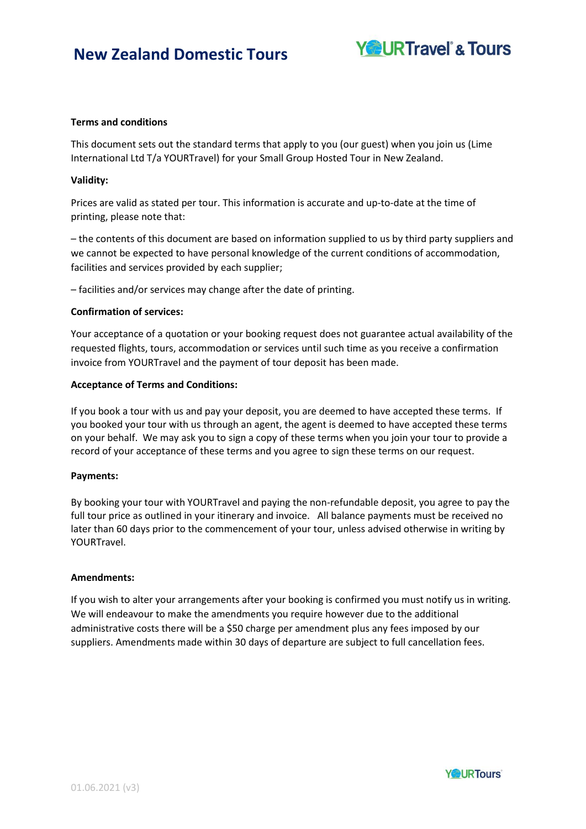

### **Terms and conditions**

This document sets out the standard terms that apply to you (our guest) when you join us (Lime International Ltd T/a YOURTravel) for your Small Group Hosted Tour in New Zealand.

## **Validity:**

Prices are valid as stated per tour. This information is accurate and up-to-date at the time of printing, please note that:

– the contents of this document are based on information supplied to us by third party suppliers and we cannot be expected to have personal knowledge of the current conditions of accommodation, facilities and services provided by each supplier;

– facilities and/or services may change after the date of printing.

### **Confirmation of services:**

Your acceptance of a quotation or your booking request does not guarantee actual availability of the requested flights, tours, accommodation or services until such time as you receive a confirmation invoice from YOURTravel and the payment of tour deposit has been made.

### **Acceptance of Terms and Conditions:**

If you book a tour with us and pay your deposit, you are deemed to have accepted these terms. If you booked your tour with us through an agent, the agent is deemed to have accepted these terms on your behalf. We may ask you to sign a copy of these terms when you join your tour to provide a record of your acceptance of these terms and you agree to sign these terms on our request.

### **Payments:**

By booking your tour with YOURTravel and paying the non-refundable deposit, you agree to pay the full tour price as outlined in your itinerary and invoice. All balance payments must be received no later than 60 days prior to the commencement of your tour, unless advised otherwise in writing by YOURTravel.

### **Amendments:**

If you wish to alter your arrangements after your booking is confirmed you must notify us in writing. We will endeavour to make the amendments you require however due to the additional administrative costs there will be a \$50 charge per amendment plus any fees imposed by our suppliers. Amendments made within 30 days of departure are subject to full cancellation fees.

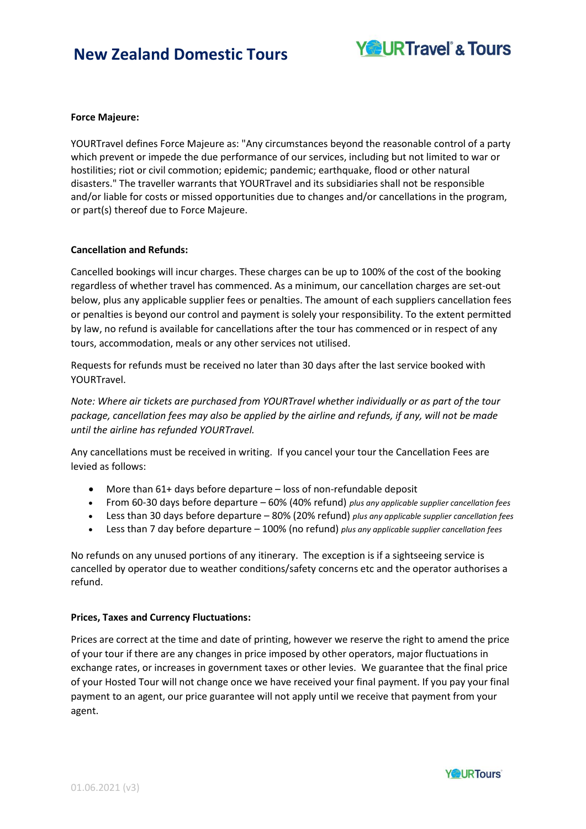

### **Force Majeure:**

YOURTravel defines Force Majeure as: "Any circumstances beyond the reasonable control of a party which prevent or impede the due performance of our services, including but not limited to war or hostilities; riot or civil commotion; epidemic; pandemic; earthquake, flood or other natural disasters." The traveller warrants that YOURTravel and its subsidiaries shall not be responsible and/or liable for costs or missed opportunities due to changes and/or cancellations in the program, or part(s) thereof due to Force Majeure.

### **Cancellation and Refunds:**

Cancelled bookings will incur charges. These charges can be up to 100% of the cost of the booking regardless of whether travel has commenced. As a minimum, our cancellation charges are set-out below, plus any applicable supplier fees or penalties. The amount of each suppliers cancellation fees or penalties is beyond our control and payment is solely your responsibility. To the extent permitted by law, no refund is available for cancellations after the tour has commenced or in respect of any tours, accommodation, meals or any other services not utilised.

Requests for refunds must be received no later than 30 days after the last service booked with YOURTravel.

*Note: Where air tickets are purchased from YOURTravel whether individually or as part of the tour package, cancellation fees may also be applied by the airline and refunds, if any, will not be made until the airline has refunded YOURTravel.*

Any cancellations must be received in writing. If you cancel your tour the Cancellation Fees are levied as follows:

- More than 61+ days before departure loss of non-refundable deposit
- From 60-30 days before departure 60% (40% refund) *plus any applicable supplier cancellation fees*
- Less than 30 days before departure 80% (20% refund) *plus any applicable supplier cancellation fees*
- Less than 7 day before departure 100% (no refund) *plus any applicable supplier cancellation fees*

No refunds on any unused portions of any itinerary. The exception is if a sightseeing service is cancelled by operator due to weather conditions/safety concerns etc and the operator authorises a refund.

### **Prices, Taxes and Currency Fluctuations:**

Prices are correct at the time and date of printing, however we reserve the right to amend the price of your tour if there are any changes in price imposed by other operators, major fluctuations in exchange rates, or increases in government taxes or other levies. We guarantee that the final price of your Hosted Tour will not change once we have received your final payment. If you pay your final payment to an agent, our price guarantee will not apply until we receive that payment from your agent.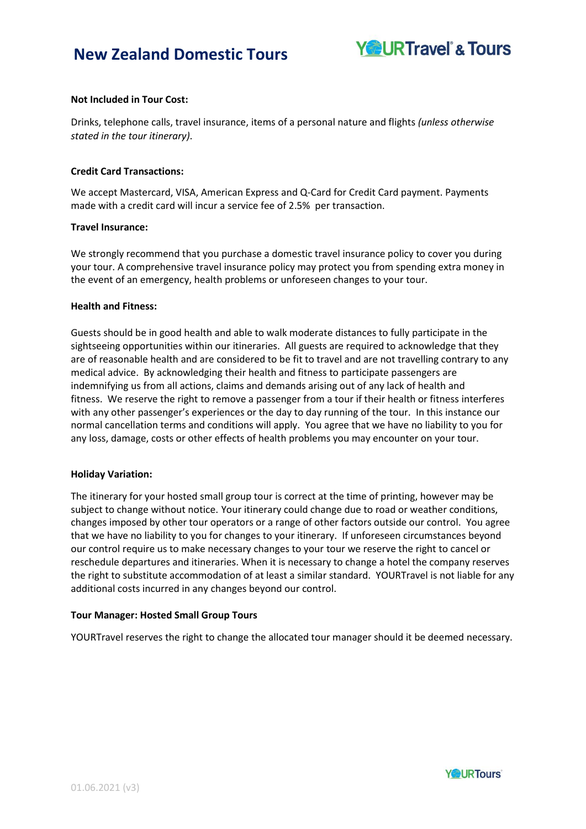

## **Not Included in Tour Cost:**

Drinks, telephone calls, travel insurance, items of a personal nature and flights *(unless otherwise stated in the tour itinerary)*.

### **Credit Card Transactions:**

We accept Mastercard, VISA, American Express and Q-Card for Credit Card payment. Payments made with a credit card will incur a service fee of 2.5% per transaction.

### **Travel Insurance:**

We strongly recommend that you purchase a domestic travel insurance policy to cover you during your tour. A comprehensive travel insurance policy may protect you from spending extra money in the event of an emergency, health problems or unforeseen changes to your tour.

#### **Health and Fitness:**

Guests should be in good health and able to walk moderate distances to fully participate in the sightseeing opportunities within our itineraries. All guests are required to acknowledge that they are of reasonable health and are considered to be fit to travel and are not travelling contrary to any medical advice. By acknowledging their health and fitness to participate passengers are indemnifying us from all actions, claims and demands arising out of any lack of health and fitness. We reserve the right to remove a passenger from a tour if their health or fitness interferes with any other passenger's experiences or the day to day running of the tour. In this instance our normal cancellation terms and conditions will apply. You agree that we have no liability to you for any loss, damage, costs or other effects of health problems you may encounter on your tour.

### **Holiday Variation:**

The itinerary for your hosted small group tour is correct at the time of printing, however may be subject to change without notice. Your itinerary could change due to road or weather conditions, changes imposed by other tour operators or a range of other factors outside our control. You agree that we have no liability to you for changes to your itinerary. If unforeseen circumstances beyond our control require us to make necessary changes to your tour we reserve the right to cancel or reschedule departures and itineraries. When it is necessary to change a hotel the company reserves the right to substitute accommodation of at least a similar standard. YOURTravel is not liable for any additional costs incurred in any changes beyond our control.

#### **Tour Manager: Hosted Small Group Tours**

YOURTravel reserves the right to change the allocated tour manager should it be deemed necessary.

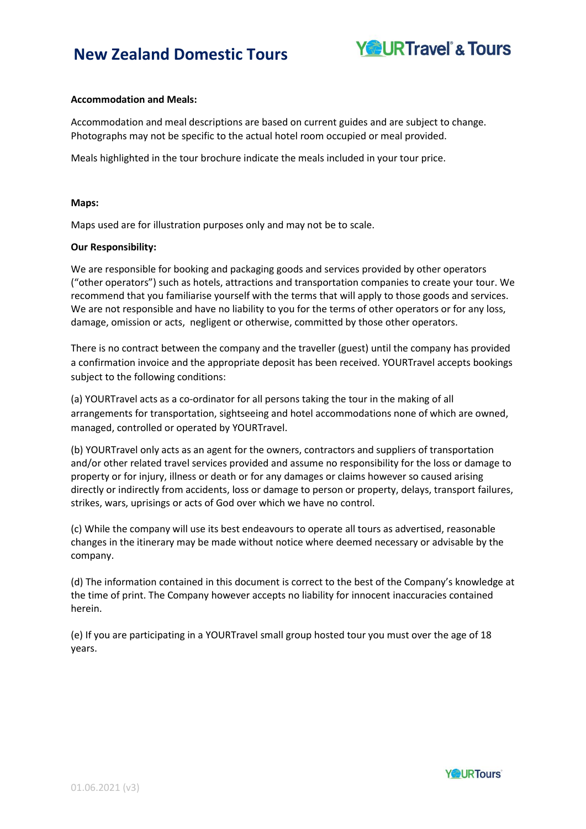

## **Accommodation and Meals:**

Accommodation and meal descriptions are based on current guides and are subject to change. Photographs may not be specific to the actual hotel room occupied or meal provided.

Meals highlighted in the tour brochure indicate the meals included in your tour price.

### **Maps:**

Maps used are for illustration purposes only and may not be to scale.

### **Our Responsibility:**

We are responsible for booking and packaging goods and services provided by other operators ("other operators") such as hotels, attractions and transportation companies to create your tour. We recommend that you familiarise yourself with the terms that will apply to those goods and services. We are not responsible and have no liability to you for the terms of other operators or for any loss, damage, omission or acts, negligent or otherwise, committed by those other operators.

There is no contract between the company and the traveller (guest) until the company has provided a confirmation invoice and the appropriate deposit has been received. YOURTravel accepts bookings subject to the following conditions:

(a) YOURTravel acts as a co-ordinator for all persons taking the tour in the making of all arrangements for transportation, sightseeing and hotel accommodations none of which are owned, managed, controlled or operated by YOURTravel.

(b) YOURTravel only acts as an agent for the owners, contractors and suppliers of transportation and/or other related travel services provided and assume no responsibility for the loss or damage to property or for injury, illness or death or for any damages or claims however so caused arising directly or indirectly from accidents, loss or damage to person or property, delays, transport failures, strikes, wars, uprisings or acts of God over which we have no control.

(c) While the company will use its best endeavours to operate all tours as advertised, reasonable changes in the itinerary may be made without notice where deemed necessary or advisable by the company.

(d) The information contained in this document is correct to the best of the Company's knowledge at the time of print. The Company however accepts no liability for innocent inaccuracies contained herein.

(e) If you are participating in a YOURTravel small group hosted tour you must over the age of 18 years.

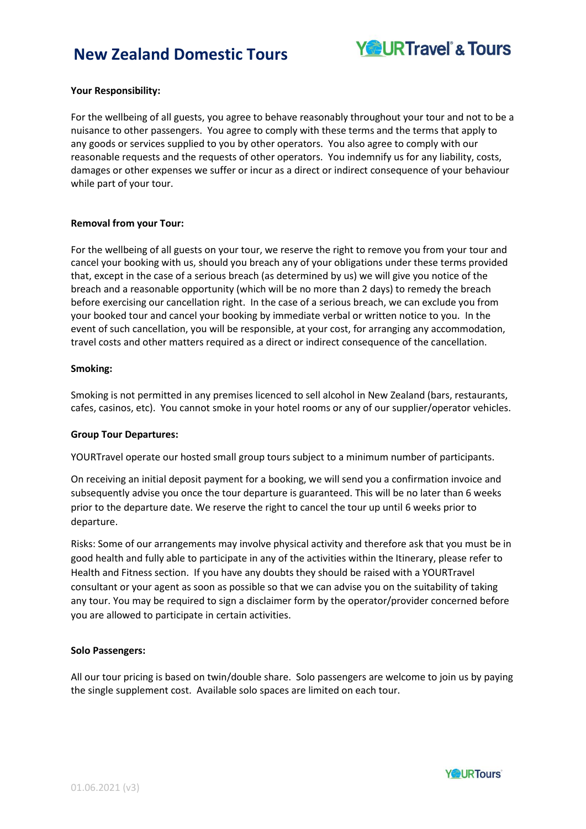

### **Your Responsibility:**

For the wellbeing of all guests, you agree to behave reasonably throughout your tour and not to be a nuisance to other passengers. You agree to comply with these terms and the terms that apply to any goods or services supplied to you by other operators. You also agree to comply with our reasonable requests and the requests of other operators. You indemnify us for any liability, costs, damages or other expenses we suffer or incur as a direct or indirect consequence of your behaviour while part of your tour.

### **Removal from your Tour:**

For the wellbeing of all guests on your tour, we reserve the right to remove you from your tour and cancel your booking with us, should you breach any of your obligations under these terms provided that, except in the case of a serious breach (as determined by us) we will give you notice of the breach and a reasonable opportunity (which will be no more than 2 days) to remedy the breach before exercising our cancellation right. In the case of a serious breach, we can exclude you from your booked tour and cancel your booking by immediate verbal or written notice to you. In the event of such cancellation, you will be responsible, at your cost, for arranging any accommodation, travel costs and other matters required as a direct or indirect consequence of the cancellation.

### **Smoking:**

Smoking is not permitted in any premises licenced to sell alcohol in New Zealand (bars, restaurants, cafes, casinos, etc). You cannot smoke in your hotel rooms or any of our supplier/operator vehicles.

#### **Group Tour Departures:**

YOURTravel operate our hosted small group tours subject to a minimum number of participants.

On receiving an initial deposit payment for a booking, we will send you a confirmation invoice and subsequently advise you once the tour departure is guaranteed. This will be no later than 6 weeks prior to the departure date. We reserve the right to cancel the tour up until 6 weeks prior to departure.

Risks: Some of our arrangements may involve physical activity and therefore ask that you must be in good health and fully able to participate in any of the activities within the Itinerary, please refer to Health and Fitness section. If you have any doubts they should be raised with a YOURTravel consultant or your agent as soon as possible so that we can advise you on the suitability of taking any tour. You may be required to sign a disclaimer form by the operator/provider concerned before you are allowed to participate in certain activities.

### **Solo Passengers:**

All our tour pricing is based on twin/double share. Solo passengers are welcome to join us by paying the single supplement cost. Available solo spaces are limited on each tour.

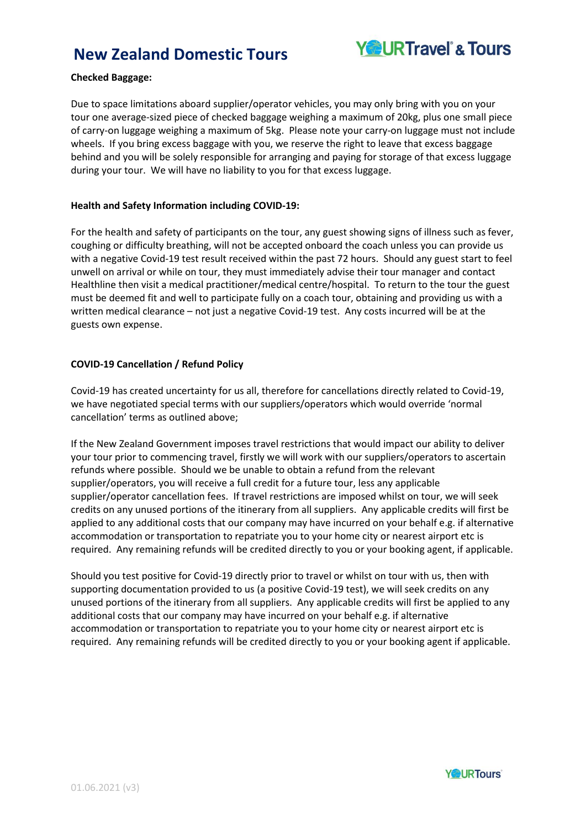

## **Checked Baggage:**

Due to space limitations aboard supplier/operator vehicles, you may only bring with you on your tour one average-sized piece of checked baggage weighing a maximum of 20kg, plus one small piece of carry-on luggage weighing a maximum of 5kg. Please note your carry-on luggage must not include wheels. If you bring excess baggage with you, we reserve the right to leave that excess baggage behind and you will be solely responsible for arranging and paying for storage of that excess luggage during your tour. We will have no liability to you for that excess luggage.

### **Health and Safety Information including COVID-19:**

For the health and safety of participants on the tour, any guest showing signs of illness such as fever, coughing or difficulty breathing, will not be accepted onboard the coach unless you can provide us with a negative Covid-19 test result received within the past 72 hours. Should any guest start to feel unwell on arrival or while on tour, they must immediately advise their tour manager and contact Healthline then visit a medical practitioner/medical centre/hospital. To return to the tour the guest must be deemed fit and well to participate fully on a coach tour, obtaining and providing us with a written medical clearance – not just a negative Covid-19 test. Any costs incurred will be at the guests own expense.

## **COVID-19 Cancellation / Refund Policy**

Covid-19 has created uncertainty for us all, therefore for cancellations directly related to Covid-19, we have negotiated special terms with our suppliers/operators which would override 'normal cancellation' terms as outlined above;

If the New Zealand Government imposes travel restrictions that would impact our ability to deliver your tour prior to commencing travel, firstly we will work with our suppliers/operators to ascertain refunds where possible. Should we be unable to obtain a refund from the relevant supplier/operators, you will receive a full credit for a future tour, less any applicable supplier/operator cancellation fees. If travel restrictions are imposed whilst on tour, we will seek credits on any unused portions of the itinerary from all suppliers. Any applicable credits will first be applied to any additional costs that our company may have incurred on your behalf e.g. if alternative accommodation or transportation to repatriate you to your home city or nearest airport etc is required. Any remaining refunds will be credited directly to you or your booking agent, if applicable.

Should you test positive for Covid-19 directly prior to travel or whilst on tour with us, then with supporting documentation provided to us (a positive Covid-19 test), we will seek credits on any unused portions of the itinerary from all suppliers. Any applicable credits will first be applied to any additional costs that our company may have incurred on your behalf e.g. if alternative accommodation or transportation to repatriate you to your home city or nearest airport etc is required. Any remaining refunds will be credited directly to you or your booking agent if applicable.